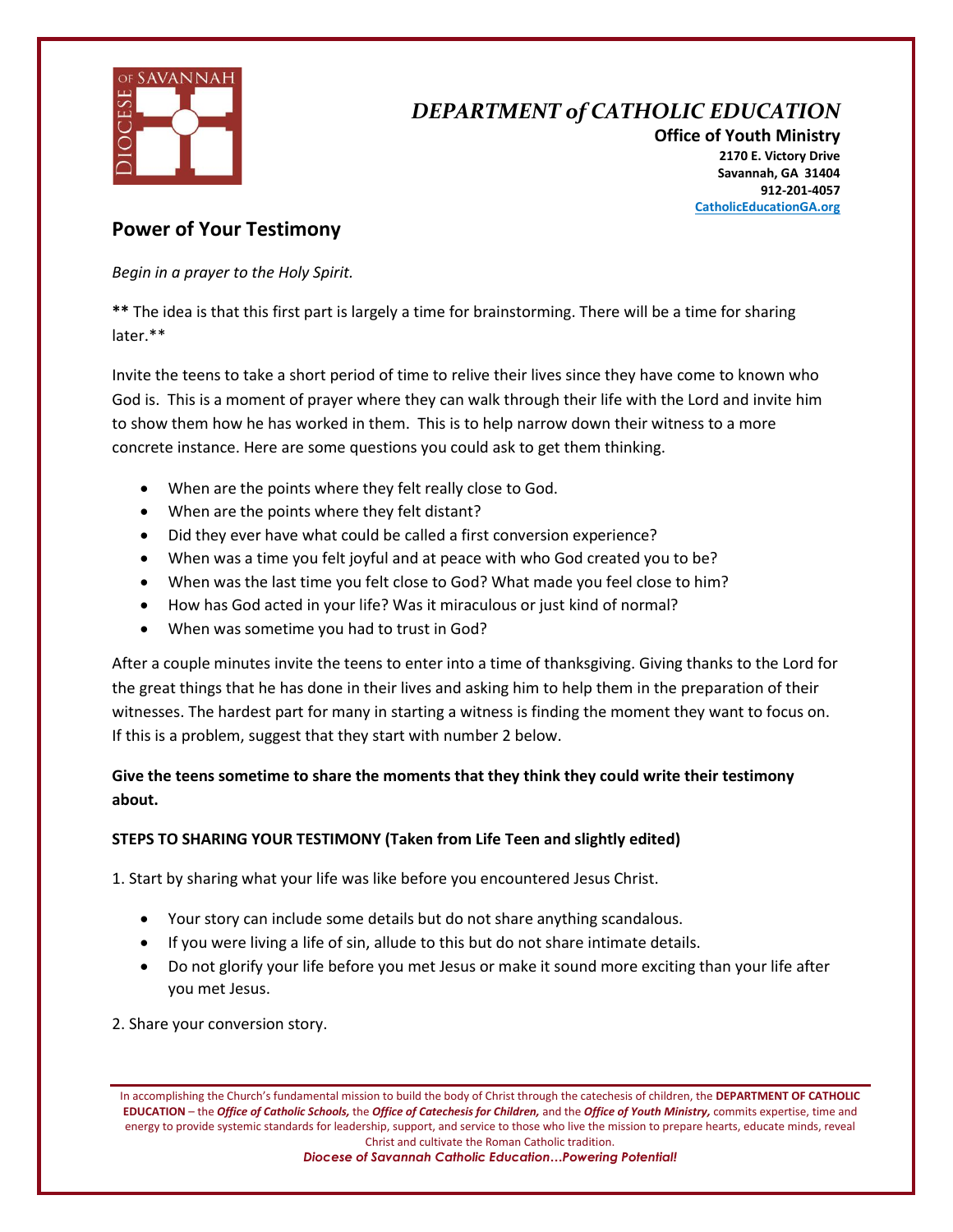

## *DEPARTMENT of CATHOLIC EDUCATION*

**Office of Youth Ministry 2170 E. Victory Drive Savannah, GA 31404 912-201-4057 CatholicEducationGA.org**

### **Power of Your Testimony**

*Begin in a prayer to the Holy Spirit.* 

**\*\*** The idea is that this first part is largely a time for brainstorming. There will be a time for sharing later.\*\*

Invite the teens to take a short period of time to relive their lives since they have come to known who God is. This is a moment of prayer where they can walk through their life with the Lord and invite him to show them how he has worked in them. This is to help narrow down their witness to a more concrete instance. Here are some questions you could ask to get them thinking.

- When are the points where they felt really close to God.
- When are the points where they felt distant?
- Did they ever have what could be called a first conversion experience?
- When was a time you felt joyful and at peace with who God created you to be?
- When was the last time you felt close to God? What made you feel close to him?
- How has God acted in your life? Was it miraculous or just kind of normal?
- When was sometime you had to trust in God?

After a couple minutes invite the teens to enter into a time of thanksgiving. Giving thanks to the Lord for the great things that he has done in their lives and asking him to help them in the preparation of their witnesses. The hardest part for many in starting a witness is finding the moment they want to focus on. If this is a problem, suggest that they start with number 2 below.

### **Give the teens sometime to share the moments that they think they could write their testimony about.**

#### **STEPS TO SHARING YOUR TESTIMONY (Taken from Life Teen and slightly edited)**

1. Start by sharing what your life was like before you encountered Jesus Christ.

- Your story can include some details but do not share anything scandalous.
- If you were living a life of sin, allude to this but do not share intimate details.
- Do not glorify your life before you met Jesus or make it sound more exciting than your life after you met Jesus.

2. Share your conversion story.

In accomplishing the Church's fundamental mission to build the body of Christ through the catechesis of children, the **DEPARTMENT OF CATHOLIC EDUCATION** – the *Office of Catholic Schools,* the *Office of Catechesis for Children,* and the *Office of Youth Ministry,* commits expertise, time and energy to provide systemic standards for leadership, support, and service to those who live the mission to prepare hearts, educate minds, reveal Christ and cultivate the Roman Catholic tradition.

*Diocese of Savannah Catholic Education…Powering Potential!*